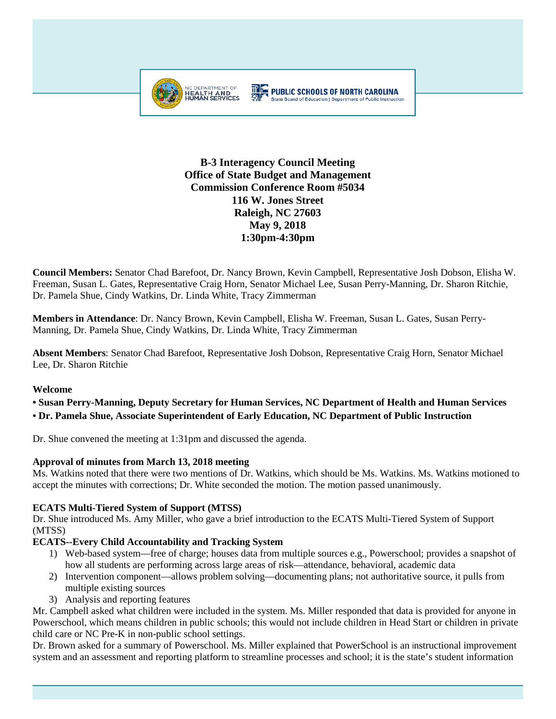

# **B-3 Interagency Council Meeting Office of State Budget and Management Commission Conference Room #5034 116 W. Jones Street Raleigh, NC 27603 May 9, 2018 1:30pm-4:30pm**

**Council Members:** Senator Chad Barefoot, Dr. Nancy Brown, Kevin Campbell, Representative Josh Dobson, Elisha W. Freeman, Susan L. Gates, Representative Craig Horn, Senator Michael Lee, Susan Perry-Manning, Dr. Sharon Ritchie, Dr. Pamela Shue, Cindy Watkins, Dr. Linda White, Tracy Zimmerman

**Members in Attendance**: Dr. Nancy Brown, Kevin Campbell, Elisha W. Freeman, Susan L. Gates, Susan Perry-Manning, Dr. Pamela Shue, Cindy Watkins, Dr. Linda White, Tracy Zimmerman

**Absent Members**: Senator Chad Barefoot, Representative Josh Dobson, Representative Craig Horn, Senator Michael Lee, Dr. Sharon Ritchie

## **Welcome**

## **• Susan Perry-Manning, Deputy Secretary for Human Services, NC Department of Health and Human Services**

**• Dr. Pamela Shue, Associate Superintendent of Early Education, NC Department of Public Instruction**

Dr. Shue convened the meeting at 1:31pm and discussed the agenda.

## **Approval of minutes from March 13, 2018 meeting**

Ms. Watkins noted that there were two mentions of Dr. Watkins, which should be Ms. Watkins. Ms. Watkins motioned to accept the minutes with corrections; Dr. White seconded the motion. The motion passed unanimously.

## **ECATS Multi-Tiered System of Support (MTSS)**

Dr. Shue introduced Ms. Amy Miller, who gave a brief introduction to the ECATS Multi-Tiered System of Support (MTSS)

## **ECATS--Every Child Accountability and Tracking System**

- 1) Web-based system—free of charge; houses data from multiple sources e.g., Powerschool; provides a snapshot of how all students are performing across large areas of risk—attendance, behavioral, academic data
- 2) Intervention component—allows problem solving—documenting plans; not authoritative source, it pulls from multiple existing sources
- 3) Analysis and reporting features

Mr. Campbell asked what children were included in the system. Ms. Miller responded that data is provided for anyone in Powerschool, which means children in public schools; this would not include children in Head Start or children in private child care or NC Pre-K in non-public school settings.

Dr. Brown asked for a summary of Powerschool. Ms. Miller explained that PowerSchool is an instructional improvement system and an assessment and reporting platform to streamline processes and school; it is the state's student information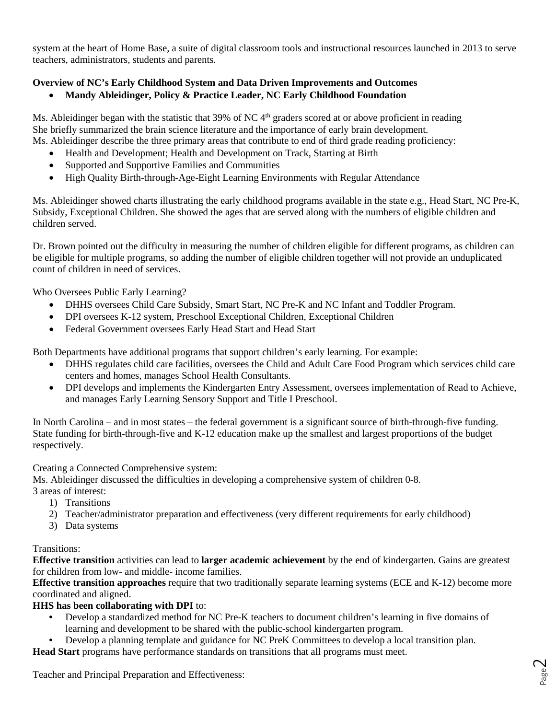system at the heart of Home Base, a suite of digital classroom tools and instructional resources launched in 2013 to serve teachers, administrators, students and parents.

# **Overview of NC's Early Childhood System and Data Driven Improvements and Outcomes**

• **Mandy Ableidinger, Policy & Practice Leader, NC Early Childhood Foundation**

Ms. Ableidinger began with the statistic that 39% of NC 4<sup>th</sup> graders scored at or above proficient in reading She briefly summarized the brain science literature and the importance of early brain development. Ms. Ableidinger describe the three primary areas that contribute to end of third grade reading proficiency:

- Health and Development; Health and Development on Track, Starting at Birth
- Supported and Supportive Families and Communities
- High Quality Birth-through-Age-Eight Learning Environments with Regular Attendance

Ms. Ableidinger showed charts illustrating the early childhood programs available in the state e.g., Head Start, NC Pre-K, Subsidy, Exceptional Children. She showed the ages that are served along with the numbers of eligible children and children served.

Dr. Brown pointed out the difficulty in measuring the number of children eligible for different programs, as children can be eligible for multiple programs, so adding the number of eligible children together will not provide an unduplicated count of children in need of services.

Who Oversees Public Early Learning?

- DHHS oversees Child Care Subsidy, Smart Start, NC Pre-K and NC Infant and Toddler Program.
- DPI oversees K-12 system, Preschool Exceptional Children, Exceptional Children
- Federal Government oversees Early Head Start and Head Start

Both Departments have additional programs that support children's early learning. For example:

- DHHS regulates child care facilities, oversees the Child and Adult Care Food Program which services child care centers and homes, manages School Health Consultants.
- DPI develops and implements the Kindergarten Entry Assessment, oversees implementation of Read to Achieve, and manages Early Learning Sensory Support and Title I Preschool.

In North Carolina – and in most states – the federal government is a significant source of birth-through-five funding. State funding for birth-through-five and K-12 education make up the smallest and largest proportions of the budget respectively.

Creating a Connected Comprehensive system:

Ms. Ableidinger discussed the difficulties in developing a comprehensive system of children 0-8.

- 3 areas of interest:
	- 1) Transitions
	- 2) Teacher/administrator preparation and effectiveness (very different requirements for early childhood)
	- 3) Data systems

## Transitions:

**Effective transition** activities can lead to **larger academic achievement** by the end of kindergarten. Gains are greatest for children from low- and middle- income families.

**Effective transition approaches** require that two traditionally separate learning systems (ECE and K-12) become more coordinated and aligned.

## **HHS has been collaborating with DPI** to:

- Develop a standardized method for NC Pre-K teachers to document children's learning in five domains of learning and development to be shared with the public-school kindergarten program.
- Develop a planning template and guidance for NC PreK Committees to develop a local transition plan.
- **Head Start** programs have performance standards on transitions that all programs must meet.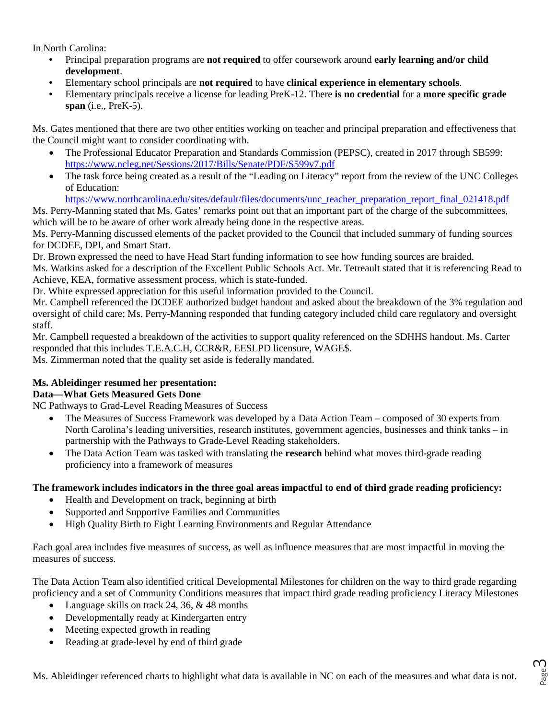In North Carolina:

- Principal preparation programs are **not required** to offer coursework around **early learning and/or child development**.
- Elementary school principals are **not required** to have **clinical experience in elementary schools**.
- Elementary principals receive a license for leading PreK-12. There **is no credential** for a **more specific grade span** (i.e., PreK-5).

Ms. Gates mentioned that there are two other entities working on teacher and principal preparation and effectiveness that the Council might want to consider coordinating with.

- The Professional Educator Preparation and Standards Commission (PEPSC), created in 2017 through SB599: <https://www.ncleg.net/Sessions/2017/Bills/Senate/PDF/S599v7.pdf>
- The task force being created as a result of the "Leading on Literacy" report from the review of the UNC Colleges of Education:

[https://www.northcarolina.edu/sites/default/files/documents/unc\\_teacher\\_preparation\\_report\\_final\\_021418.pdf](https://www.northcarolina.edu/sites/default/files/documents/unc_teacher_preparation_report_final_021418.pdf)

Ms. Perry-Manning stated that Ms. Gates' remarks point out that an important part of the charge of the subcommittees, which will be to be aware of other work already being done in the respective areas.

Ms. Perry-Manning discussed elements of the packet provided to the Council that included summary of funding sources for DCDEE, DPI, and Smart Start.

Dr. Brown expressed the need to have Head Start funding information to see how funding sources are braided.

Ms. Watkins asked for a description of the Excellent Public Schools Act. Mr. Tetreault stated that it is referencing Read to Achieve, KEA, formative assessment process, which is state-funded.

Dr. White expressed appreciation for this useful information provided to the Council.

Mr. Campbell referenced the DCDEE authorized budget handout and asked about the breakdown of the 3% regulation and oversight of child care; Ms. Perry-Manning responded that funding category included child care regulatory and oversight staff.

Mr. Campbell requested a breakdown of the activities to support quality referenced on the SDHHS handout. Ms. Carter responded that this includes T.E.A.C.H, CCR&R, EESLPD licensure, WAGE\$. Ms. Zimmerman noted that the quality set aside is federally mandated.

**Ms. Ableidinger resumed her presentation:**

## **Data—What Gets Measured Gets Done**

NC Pathways to Grad-Level Reading Measures of Success

- The Measures of Success Framework was developed by a Data Action Team composed of 30 experts from North Carolina's leading universities, research institutes, government agencies, businesses and think tanks – in partnership with the Pathways to Grade-Level Reading stakeholders.
- The Data Action Team was tasked with translating the **research** behind what moves third-grade reading proficiency into a framework of measures

## **The framework includes indicators in the three goal areas impactful to end of third grade reading proficiency:**

- Health and Development on track, beginning at birth
- Supported and Supportive Families and Communities
- High Quality Birth to Eight Learning Environments and Regular Attendance

Each goal area includes five measures of success, as well as influence measures that are most impactful in moving the measures of success.

The Data Action Team also identified critical Developmental Milestones for children on the way to third grade regarding proficiency and a set of Community Conditions measures that impact third grade reading proficiency Literacy Milestones

- Language skills on track 24, 36, & 48 months
- Developmentally ready at Kindergarten entry
- Meeting expected growth in reading
- Reading at grade-level by end of third grade

Page ന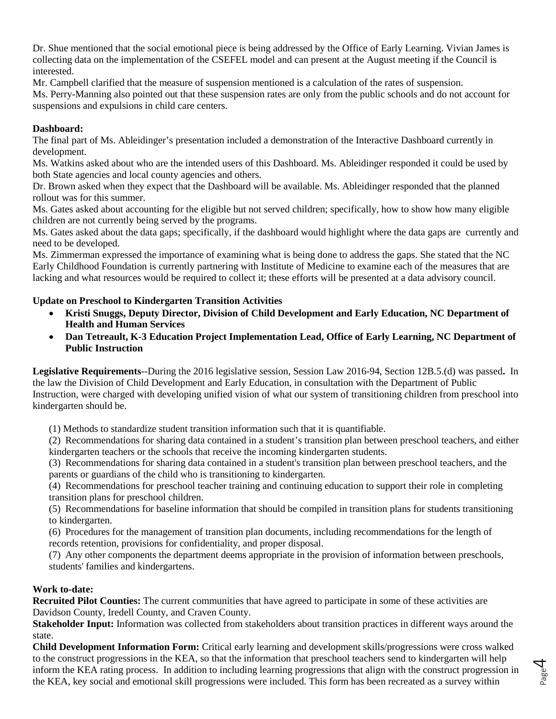Dr. Shue mentioned that the social emotional piece is being addressed by the Office of Early Learning. Vivian James is collecting data on the implementation of the CSEFEL model and can present at the August meeting if the Council is interested.

Mr. Campbell clarified that the measure of suspension mentioned is a calculation of the rates of suspension.

Ms. Perry-Manning also pointed out that these suspension rates are only from the public schools and do not account for suspensions and expulsions in child care centers.

## **Dashboard:**

The final part of Ms. Ableidinger's presentation included a demonstration of the Interactive Dashboard currently in development.

Ms. Watkins asked about who are the intended users of this Dashboard. Ms. Ableidinger responded it could be used by both State agencies and local county agencies and others.

Dr. Brown asked when they expect that the Dashboard will be available. Ms. Ableidinger responded that the planned rollout was for this summer.

Ms. Gates asked about accounting for the eligible but not served children; specifically, how to show how many eligible children are not currently being served by the programs.

Ms. Gates asked about the data gaps; specifically, if the dashboard would highlight where the data gaps are currently and need to be developed.

Ms. Zimmerman expressed the importance of examining what is being done to address the gaps. She stated that the NC Early Childhood Foundation is currently partnering with Institute of Medicine to examine each of the measures that are lacking and what resources would be required to collect it; these efforts will be presented at a data advisory council.

## **Update on Preschool to Kindergarten Transition Activities**

- **Kristi Snuggs, Deputy Director, Division of Child Development and Early Education, NC Department of Health and Human Services**
- **Dan Tetreault, K-3 Education Project Implementation Lead, Office of Early Learning, NC Department of Public Instruction**

**Legislative Requirements**--During the 2016 legislative session, Session Law 2016-94, Section 12B.5.(d) was passed**.** In the law the Division of Child Development and Early Education, in consultation with the Department of Public Instruction, were charged with developing unified vision of what our system of transitioning children from preschool into kindergarten should be.

(1) Methods to standardize student transition information such that it is quantifiable.

(2) Recommendations for sharing data contained in a student's transition plan between preschool teachers, and either kindergarten teachers or the schools that receive the incoming kindergarten students.

(3) Recommendations for sharing data contained in a student's transition plan between preschool teachers, and the parents or guardians of the child who is transitioning to kindergarten.

(4) Recommendations for preschool teacher training and continuing education to support their role in completing transition plans for preschool children.

(5) Recommendations for baseline information that should be compiled in transition plans for students transitioning to kindergarten.

(6) Procedures for the management of transition plan documents, including recommendations for the length of records retention, provisions for confidentiality, and proper disposal.

(7) Any other components the department deems appropriate in the provision of information between preschools, students' families and kindergartens.

# **Work to-date:**

**Recruited Pilot Counties:** The current communities that have agreed to participate in some of these activities are Davidson County, Iredell County, and Craven County.

**Stakeholder Input:** Information was collected from stakeholders about transition practices in different ways around the state.

**Child Development Information Form:** Critical early learning and development skills/progressions were cross walked to the construct progressions in the KEA, so that the information that preschool teachers send to kindergarten will help inform the KEA rating process. In addition to including learning progressions that align with the construct progression in the KEA, key social and emotional skill progressions were included. This form has been recreated as a survey within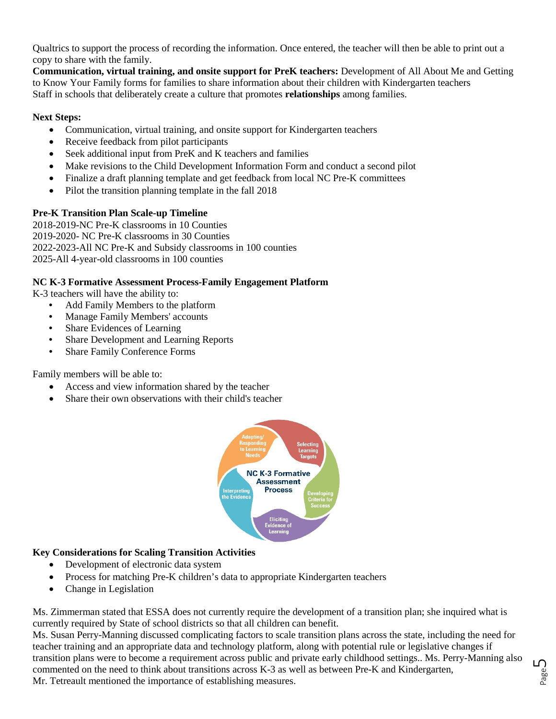Qualtrics to support the process of recording the information. Once entered, the teacher will then be able to print out a copy to share with the family.

**Communication, virtual training, and onsite support for PreK teachers:** Development of All About Me and Getting to Know Your Family forms for families to share information about their children with Kindergarten teachers Staff in schools that deliberately create a culture that promotes **relationships** among families.

#### **Next Steps:**

- Communication, virtual training, and onsite support for Kindergarten teachers
- Receive feedback from pilot participants
- Seek additional input from PreK and K teachers and families
- Make revisions to the Child Development Information Form and conduct a second pilot
- Finalize a draft planning template and get feedback from local NC Pre-K committees
- Pilot the transition planning template in the fall 2018

#### **Pre-K Transition Plan Scale-up Timeline**

2018-2019-NC Pre-K classrooms in 10 Counties 2019-2020- NC Pre-K classrooms in 30 Counties 2022-2023-All NC Pre-K and Subsidy classrooms in 100 counties 2025-All 4-year-old classrooms in 100 counties

#### **NC K-3 Formative Assessment Process-Family Engagement Platform**

K-3 teachers will have the ability to:

- Add Family Members to the platform
- Manage Family Members' accounts
- Share Evidences of Learning
- Share Development and Learning Reports
- Share Family Conference Forms

Family members will be able to:

- Access and view information shared by the teacher
- Share their own observations with their child's teacher



## **Key Considerations for Scaling Transition Activities**

- Development of electronic data system
- Process for matching Pre-K children's data to appropriate Kindergarten teachers
- Change in Legislation

Ms. Zimmerman stated that ESSA does not currently require the development of a transition plan; she inquired what is currently required by State of school districts so that all children can benefit.

Ms. Susan Perry-Manning discussed complicating factors to scale transition plans across the state, including the need for teacher training and an appropriate data and technology platform, along with potential rule or legislative changes if transition plans were to become a requirement across public and private early childhood settings.. Ms. Perry-Manning also commented on the need to think about transitions across K-3 as well as between Pre-K and Kindergarten, Mr. Tetreault mentioned the importance of establishing measures.

Page ഗ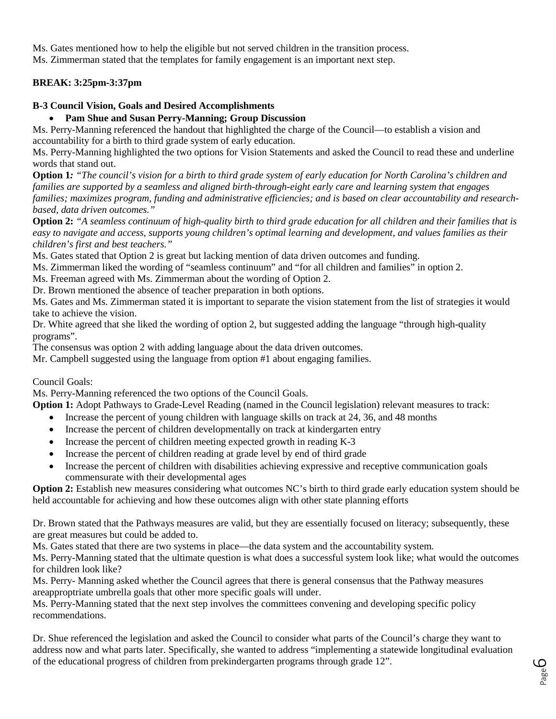Ms. Gates mentioned how to help the eligible but not served children in the transition process.

Ms. Zimmerman stated that the templates for family engagement is an important next step.

# **BREAK: 3:25pm-3:37pm**

## **B-3 Council Vision, Goals and Desired Accomplishments**

## • **Pam Shue and Susan Perry-Manning; Group Discussion**

Ms. Perry-Manning referenced the handout that highlighted the charge of the Council—to establish a vision and accountability for a birth to third grade system of early education.

Ms. Perry-Manning highlighted the two options for Vision Statements and asked the Council to read these and underline words that stand out.

**Option 1***: "The council's vision for a birth to third grade system of early education for North Carolina's children and families are supported by a seamless and aligned birth-through-eight early care and learning system that engages families; maximizes program, funding and administrative efficiencies; and is based on clear accountability and researchbased, data driven outcomes."*

**Option 2:** *"A seamless continuum of high-quality birth to third grade education for all children and their families that is easy to navigate and access, supports young children's optimal learning and development, and values families as their children's first and best teachers."*

Ms. Gates stated that Option 2 is great but lacking mention of data driven outcomes and funding.

Ms. Zimmerman liked the wording of "seamless continuum" and "for all children and families" in option 2.

Ms. Freeman agreed with Ms. Zimmerman about the wording of Option 2.

Dr. Brown mentioned the absence of teacher preparation in both options.

Ms. Gates and Ms. Zimmerman stated it is important to separate the vision statement from the list of strategies it would take to achieve the vision.

Dr. White agreed that she liked the wording of option 2, but suggested adding the language "through high-quality programs".

The consensus was option 2 with adding language about the data driven outcomes.

Mr. Campbell suggested using the language from option #1 about engaging families.

## Council Goals:

Ms. Perry-Manning referenced the two options of the Council Goals.

**Option 1:** Adopt Pathways to Grade-Level Reading (named in the Council legislation) relevant measures to track:

- Increase the percent of young children with language skills on track at 24, 36, and 48 months
- Increase the percent of children developmentally on track at kindergarten entry
- Increase the percent of children meeting expected growth in reading K-3
- Increase the percent of children reading at grade level by end of third grade
- Increase the percent of children with disabilities achieving expressive and receptive communication goals commensurate with their developmental ages

**Option 2:** Establish new measures considering what outcomes NC's birth to third grade early education system should be held accountable for achieving and how these outcomes align with other state planning efforts

Dr. Brown stated that the Pathways measures are valid, but they are essentially focused on literacy; subsequently, these are great measures but could be added to.

Ms. Gates stated that there are two systems in place—the data system and the accountability system.

Ms. Perry-Manning stated that the ultimate question is what does a successful system look like; what would the outcomes for children look like?

Ms. Perry- Manning asked whether the Council agrees that there is general consensus that the Pathway measures areapproptriate umbrella goals that other more specific goals will under.

Ms. Perry-Manning stated that the next step involves the committees convening and developing specific policy recommendations.

Dr. Shue referenced the legislation and asked the Council to consider what parts of the Council's charge they want to address now and what parts later. Specifically, she wanted to address "implementing a statewide longitudinal evaluation of the educational progress of children from prekindergarten programs through grade 12".